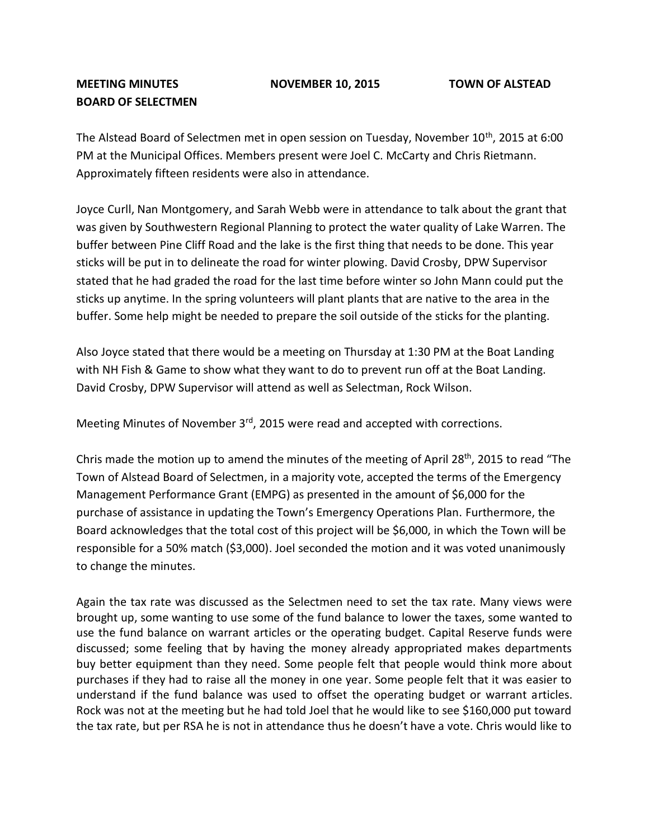## **MEETING MINUTES NOVEMBER 10, 2015 TOWN OF ALSTEAD BOARD OF SELECTMEN**

The Alstead Board of Selectmen met in open session on Tuesday, November 10<sup>th</sup>, 2015 at 6:00 PM at the Municipal Offices. Members present were Joel C. McCarty and Chris Rietmann. Approximately fifteen residents were also in attendance.

Joyce Curll, Nan Montgomery, and Sarah Webb were in attendance to talk about the grant that was given by Southwestern Regional Planning to protect the water quality of Lake Warren. The buffer between Pine Cliff Road and the lake is the first thing that needs to be done. This year sticks will be put in to delineate the road for winter plowing. David Crosby, DPW Supervisor stated that he had graded the road for the last time before winter so John Mann could put the sticks up anytime. In the spring volunteers will plant plants that are native to the area in the buffer. Some help might be needed to prepare the soil outside of the sticks for the planting.

Also Joyce stated that there would be a meeting on Thursday at 1:30 PM at the Boat Landing with NH Fish & Game to show what they want to do to prevent run off at the Boat Landing. David Crosby, DPW Supervisor will attend as well as Selectman, Rock Wilson.

Meeting Minutes of November 3<sup>rd</sup>, 2015 were read and accepted with corrections.

Chris made the motion up to amend the minutes of the meeting of April 28<sup>th</sup>, 2015 to read "The Town of Alstead Board of Selectmen, in a majority vote, accepted the terms of the Emergency Management Performance Grant (EMPG) as presented in the amount of \$6,000 for the purchase of assistance in updating the Town's Emergency Operations Plan. Furthermore, the Board acknowledges that the total cost of this project will be \$6,000, in which the Town will be responsible for a 50% match (\$3,000). Joel seconded the motion and it was voted unanimously to change the minutes.

Again the tax rate was discussed as the Selectmen need to set the tax rate. Many views were brought up, some wanting to use some of the fund balance to lower the taxes, some wanted to use the fund balance on warrant articles or the operating budget. Capital Reserve funds were discussed; some feeling that by having the money already appropriated makes departments buy better equipment than they need. Some people felt that people would think more about purchases if they had to raise all the money in one year. Some people felt that it was easier to understand if the fund balance was used to offset the operating budget or warrant articles. Rock was not at the meeting but he had told Joel that he would like to see \$160,000 put toward the tax rate, but per RSA he is not in attendance thus he doesn't have a vote. Chris would like to